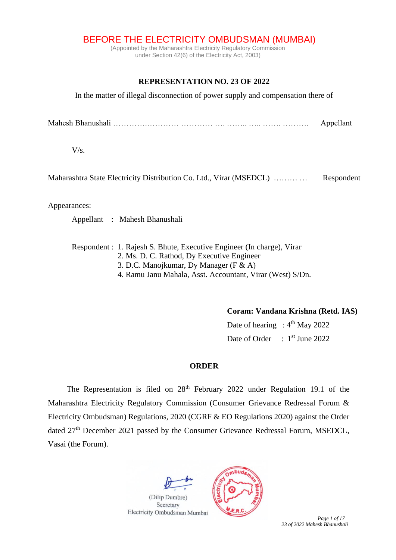BEFORE THE ELECTRICITY OMBUDSMAN (MUMBAI)

(Appointed by the Maharashtra Electricity Regulatory Commission under Section 42(6) of the Electricity Act, 2003)

## **REPRESENTATION NO. 23 OF 2022**

In the matter of illegal disconnection of power supply and compensation there of

Mahesh Bhanushali ………….………… ………… …. …….. ….. ……. ………. Appellant

 $V/s$ .

Maharashtra State Electricity Distribution Co. Ltd., Virar (MSEDCL) ……… … Respondent

Appearances:

Appellant : Mahesh Bhanushali

Respondent : 1. Rajesh S. Bhute, Executive Engineer (In charge), Virar 2. Ms. D. C. Rathod, Dy Executive Engineer 3. D.C. Manojkumar, Dy Manager (F & A) 4. Ramu Janu Mahala, Asst. Accountant, Virar (West) S/Dn.

**Coram: Vandana Krishna (Retd. IAS)**

Date of hearing :  $4<sup>th</sup>$  May 2022 Date of Order : 1<sup>st</sup> June 2022

## **ORDER**

The Representation is filed on  $28<sup>th</sup>$  February 2022 under Regulation 19.1 of the Maharashtra Electricity Regulatory Commission (Consumer Grievance Redressal Forum & Electricity Ombudsman) Regulations, 2020 (CGRF & EO Regulations 2020) against the Order dated 27<sup>th</sup> December 2021 passed by the Consumer Grievance Redressal Forum, MSEDCL, Vasai (the Forum).



*23 of 2022 Mahesh Bhanushali*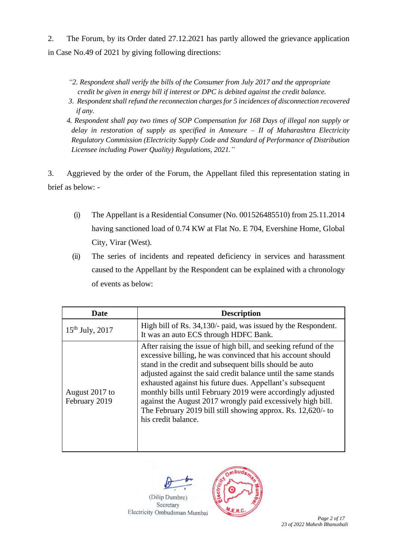2. The Forum, by its Order dated 27.12.2021 has partly allowed the grievance application in Case No.49 of 2021 by giving following directions:

- *"2. Respondent shall verify the bills of the Consumer from July 2017 and the appropriate credit be given in energy bill if interest or DPC is debited against the credit balance.*
- *3. Respondent shall refund the reconnection charges for 5 incidences of disconnection recovered if any.*

*4. Respondent shall pay two times of SOP Compensation for 168 Days of illegal non supply or delay in restoration of supply as specified in Annexure – II of Maharashtra Electricity Regulatory Commission (Electricity Supply Code and Standard of Performance of Distribution Licensee including Power Quality) Regulations, 2021."*

3. Aggrieved by the order of the Forum, the Appellant filed this representation stating in brief as below: -

- (i) The Appellant is a Residential Consumer (No. 001526485510) from 25.11.2014 having sanctioned load of 0.74 KW at Flat No. E 704, Evershine Home, Global City, Virar (West).
- (ii) The series of incidents and repeated deficiency in services and harassment caused to the Appellant by the Respondent can be explained with a chronology of events as below:

| <b>Date</b>                     | <b>Description</b>                                                                                                                                                                                                                                                                                                                                                                                                                                                                                                                            |
|---------------------------------|-----------------------------------------------------------------------------------------------------------------------------------------------------------------------------------------------------------------------------------------------------------------------------------------------------------------------------------------------------------------------------------------------------------------------------------------------------------------------------------------------------------------------------------------------|
| $15^{th}$ July, 2017            | High bill of Rs. 34,130/- paid, was issued by the Respondent.<br>It was an auto ECS through HDFC Bank.                                                                                                                                                                                                                                                                                                                                                                                                                                        |
| August 2017 to<br>February 2019 | After raising the issue of high bill, and seeking refund of the<br>excessive billing, he was convinced that his account should<br>stand in the credit and subsequent bills should be auto<br>adjusted against the said credit balance until the same stands<br>exhausted against his future dues. Appellant's subsequent<br>monthly bills until February 2019 were accordingly adjusted<br>against the August 2017 wrongly paid excessively high bill.<br>The February 2019 bill still showing approx. Rs. 12,620/- to<br>his credit balance. |

(Dilip Dumbre) Secretary

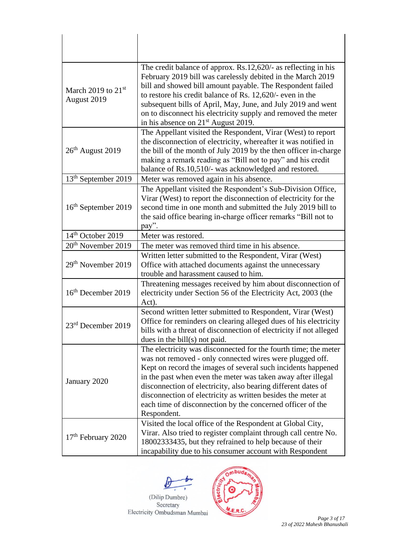| March 2019 to $21st$<br>August 2019 | The credit balance of approx. Rs.12,620/- as reflecting in his<br>February 2019 bill was carelessly debited in the March 2019<br>bill and showed bill amount payable. The Respondent failed<br>to restore his credit balance of Rs. 12,620/- even in the<br>subsequent bills of April, May, June, and July 2019 and went<br>on to disconnect his electricity supply and removed the meter<br>in his absence on 21 <sup>st</sup> August 2019.                              |
|-------------------------------------|---------------------------------------------------------------------------------------------------------------------------------------------------------------------------------------------------------------------------------------------------------------------------------------------------------------------------------------------------------------------------------------------------------------------------------------------------------------------------|
| $26th$ August 2019                  | The Appellant visited the Respondent, Virar (West) to report<br>the disconnection of electricity, whereafter it was notified in<br>the bill of the month of July 2019 by the then officer in-charge<br>making a remark reading as "Bill not to pay" and his credit<br>balance of Rs.10,510/- was acknowledged and restored.                                                                                                                                               |
| 13 <sup>th</sup> September 2019     | Meter was removed again in his absence.                                                                                                                                                                                                                                                                                                                                                                                                                                   |
| 16 <sup>th</sup> September 2019     | The Appellant visited the Respondent's Sub-Division Office,<br>Virar (West) to report the disconnection of electricity for the<br>second time in one month and submitted the July 2019 bill to<br>the said office bearing in-charge officer remarks "Bill not to<br>pay".                                                                                                                                                                                                 |
| 14 <sup>th</sup> October 2019       | Meter was restored.                                                                                                                                                                                                                                                                                                                                                                                                                                                       |
| 20 <sup>th</sup> November 2019      | The meter was removed third time in his absence.                                                                                                                                                                                                                                                                                                                                                                                                                          |
| 29 <sup>th</sup> November 2019      | Written letter submitted to the Respondent, Virar (West)<br>Office with attached documents against the unnecessary<br>trouble and harassment caused to him.                                                                                                                                                                                                                                                                                                               |
| 16 <sup>th</sup> December 2019      | Threatening messages received by him about disconnection of<br>electricity under Section 56 of the Electricity Act, 2003 (the<br>Act).                                                                                                                                                                                                                                                                                                                                    |
| 23rd December 2019                  | Second written letter submitted to Respondent, Virar (West)<br>Office for reminders on clearing alleged dues of his electricity<br>bills with a threat of disconnection of electricity if not alleged<br>dues in the bill $(s)$ not paid.                                                                                                                                                                                                                                 |
| January 2020                        | The electricity was disconnected for the fourth time; the meter<br>was not removed - only connected wires were plugged off.<br>Kept on record the images of several such incidents happened<br>in the past when even the meter was taken away after illegal<br>disconnection of electricity, also bearing different dates of<br>disconnection of electricity as written besides the meter at<br>each time of disconnection by the concerned officer of the<br>Respondent. |
| $17th$ February 2020                | Visited the local office of the Respondent at Global City,<br>Virar. Also tried to register complaint through call centre No.<br>18002333435, but they refrained to help because of their<br>incapability due to his consumer account with Respondent                                                                                                                                                                                                                     |



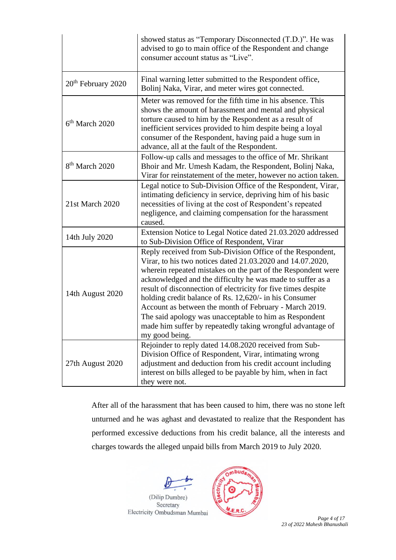|                                | showed status as "Temporary Disconnected (T.D.)". He was<br>advised to go to main office of the Respondent and change<br>consumer account status as "Live".                                                                                                                                                                                                                                                                                                                                                                                                                           |  |
|--------------------------------|---------------------------------------------------------------------------------------------------------------------------------------------------------------------------------------------------------------------------------------------------------------------------------------------------------------------------------------------------------------------------------------------------------------------------------------------------------------------------------------------------------------------------------------------------------------------------------------|--|
| 20 <sup>th</sup> February 2020 | Final warning letter submitted to the Respondent office,<br>Bolinj Naka, Virar, and meter wires got connected.                                                                                                                                                                                                                                                                                                                                                                                                                                                                        |  |
| $6th$ March 2020               | Meter was removed for the fifth time in his absence. This<br>shows the amount of harassment and mental and physical<br>torture caused to him by the Respondent as a result of<br>inefficient services provided to him despite being a loyal<br>consumer of the Respondent, having paid a huge sum in<br>advance, all at the fault of the Respondent.                                                                                                                                                                                                                                  |  |
| 8 <sup>th</sup> March 2020     | Follow-up calls and messages to the office of Mr. Shrikant<br>Bhoir and Mr. Umesh Kadam, the Respondent, Bolinj Naka,<br>Virar for reinstatement of the meter, however no action taken.                                                                                                                                                                                                                                                                                                                                                                                               |  |
| 21st March 2020                | Legal notice to Sub-Division Office of the Respondent, Virar,<br>intimating deficiency in service, depriving him of his basic<br>necessities of living at the cost of Respondent's repeated<br>negligence, and claiming compensation for the harassment<br>caused.                                                                                                                                                                                                                                                                                                                    |  |
| 14th July 2020                 | Extension Notice to Legal Notice dated 21.03.2020 addressed<br>to Sub-Division Office of Respondent, Virar                                                                                                                                                                                                                                                                                                                                                                                                                                                                            |  |
| 14th August 2020               | Reply received from Sub-Division Office of the Respondent,<br>Virar, to his two notices dated 21.03.2020 and 14.07.2020,<br>wherein repeated mistakes on the part of the Respondent were<br>acknowledged and the difficulty he was made to suffer as a<br>result of disconnection of electricity for five times despite<br>holding credit balance of Rs. 12,620/- in his Consumer<br>Account as between the month of February - March 2019.<br>The said apology was unacceptable to him as Respondent<br>made him suffer by repeatedly taking wrongful advantage of<br>my good being. |  |
| 27th August 2020               | Rejoinder to reply dated 14.08.2020 received from Sub-<br>Division Office of Respondent, Virar, intimating wrong<br>adjustment and deduction from his credit account including<br>interest on bills alleged to be payable by him, when in fact<br>they were not.                                                                                                                                                                                                                                                                                                                      |  |

After all of the harassment that has been caused to him, there was no stone left unturned and he was aghast and devastated to realize that the Respondent has performed excessive deductions from his credit balance, all the interests and charges towards the alleged unpaid bills from March 2019 to July 2020.



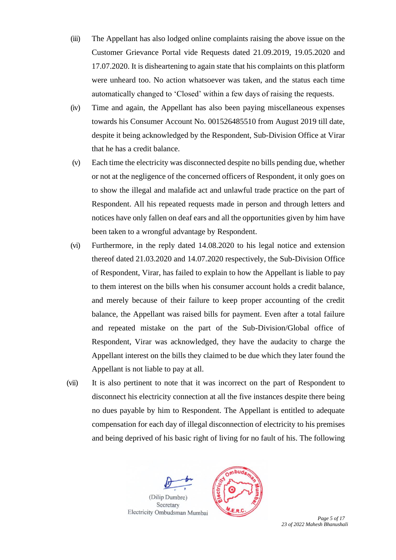- (iii) The Appellant has also lodged online complaints raising the above issue on the Customer Grievance Portal vide Requests dated 21.09.2019, 19.05.2020 and 17.07.2020. It is disheartening to again state that his complaints on this platform were unheard too. No action whatsoever was taken, and the status each time automatically changed to 'Closed' within a few days of raising the requests.
- (iv) Time and again, the Appellant has also been paying miscellaneous expenses towards his Consumer Account No. 001526485510 from August 2019 till date, despite it being acknowledged by the Respondent, Sub-Division Office at Virar that he has a credit balance.
- (v) Each time the electricity was disconnected despite no bills pending due, whether or not at the negligence of the concerned officers of Respondent, it only goes on to show the illegal and malafide act and unlawful trade practice on the part of Respondent. All his repeated requests made in person and through letters and notices have only fallen on deaf ears and all the opportunities given by him have been taken to a wrongful advantage by Respondent.
- (vi) Furthermore, in the reply dated 14.08.2020 to his legal notice and extension thereof dated 21.03.2020 and 14.07.2020 respectively, the Sub-Division Office of Respondent, Virar, has failed to explain to how the Appellant is liable to pay to them interest on the bills when his consumer account holds a credit balance, and merely because of their failure to keep proper accounting of the credit balance, the Appellant was raised bills for payment. Even after a total failure and repeated mistake on the part of the Sub-Division/Global office of Respondent, Virar was acknowledged, they have the audacity to charge the Appellant interest on the bills they claimed to be due which they later found the Appellant is not liable to pay at all.
- (vii) It is also pertinent to note that it was incorrect on the part of Respondent to disconnect his electricity connection at all the five instances despite there being no dues payable by him to Respondent. The Appellant is entitled to adequate compensation for each day of illegal disconnection of electricity to his premises and being deprived of his basic right of living for no fault of his. The following





Page 5 of 17 *23 of 2022 Mahesh Bhanushali*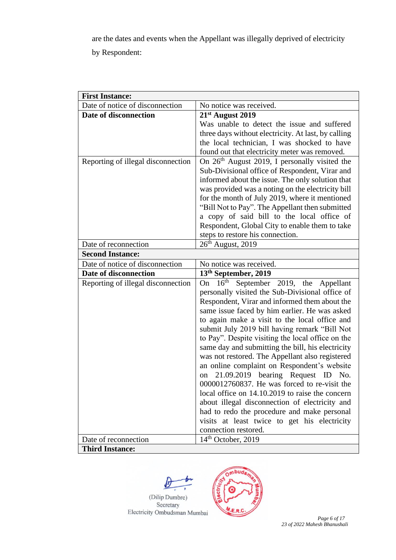are the dates and events when the Appellant was illegally deprived of electricity

by Respondent:

| <b>First Instance:</b>             |                                                          |  |  |
|------------------------------------|----------------------------------------------------------|--|--|
| Date of notice of disconnection    | No notice was received.                                  |  |  |
| Date of disconnection              | 21st August 2019                                         |  |  |
|                                    | Was unable to detect the issue and suffered              |  |  |
|                                    | three days without electricity. At last, by calling      |  |  |
|                                    | the local technician, I was shocked to have              |  |  |
|                                    | found out that electricity meter was removed.            |  |  |
| Reporting of illegal disconnection | On $26th$ August 2019, I personally visited the          |  |  |
|                                    | Sub-Divisional office of Respondent, Virar and           |  |  |
|                                    | informed about the issue. The only solution that         |  |  |
|                                    | was provided was a noting on the electricity bill        |  |  |
|                                    | for the month of July 2019, where it mentioned           |  |  |
|                                    | "Bill Not to Pay". The Appellant then submitted          |  |  |
|                                    | a copy of said bill to the local office of               |  |  |
|                                    | Respondent, Global City to enable them to take           |  |  |
|                                    | steps to restore his connection.                         |  |  |
| Date of reconnection               | $26th$ August, 2019                                      |  |  |
| <b>Second Instance:</b>            |                                                          |  |  |
| Date of notice of disconnection    | No notice was received.                                  |  |  |
| Date of disconnection              | 13 <sup>th</sup> September, 2019                         |  |  |
| Reporting of illegal disconnection | 16 <sup>th</sup><br>September 2019, the Appellant<br>On- |  |  |
|                                    | personally visited the Sub-Divisional office of          |  |  |
|                                    | Respondent, Virar and informed them about the            |  |  |
|                                    | same issue faced by him earlier. He was asked            |  |  |
|                                    | to again make a visit to the local office and            |  |  |
|                                    | submit July 2019 bill having remark "Bill Not            |  |  |
|                                    | to Pay". Despite visiting the local office on the        |  |  |
|                                    | same day and submitting the bill, his electricity        |  |  |
|                                    | was not restored. The Appellant also registered          |  |  |
|                                    | an online complaint on Respondent's website              |  |  |
|                                    | 21.09.2019 bearing Request ID No.<br>on                  |  |  |
|                                    | 0000012760837. He was forced to re-visit the             |  |  |
|                                    | local office on 14.10.2019 to raise the concern          |  |  |
|                                    | about illegal disconnection of electricity and           |  |  |
|                                    | had to redo the procedure and make personal              |  |  |
|                                    | visits at least twice to get his electricity             |  |  |
|                                    | connection restored.                                     |  |  |
| Date of reconnection               | 14 <sup>th</sup> October, 2019                           |  |  |
| <b>Third Instance:</b>             |                                                          |  |  |





Page 6 of 17 *23 of 2022 Mahesh Bhanushali*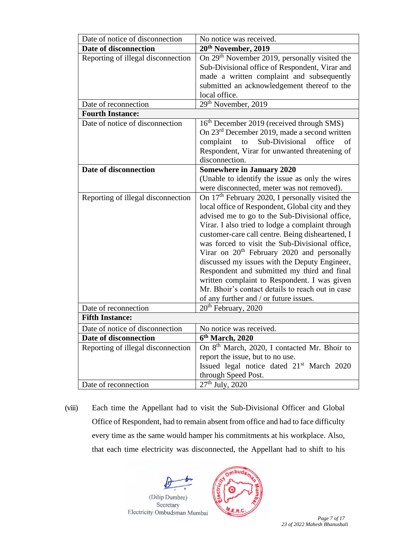| Date of notice of disconnection    | No notice was received.                                                                                                                                                                                                                                                                                                                                                                                                                                                                                                                                                                                                             |  |  |  |
|------------------------------------|-------------------------------------------------------------------------------------------------------------------------------------------------------------------------------------------------------------------------------------------------------------------------------------------------------------------------------------------------------------------------------------------------------------------------------------------------------------------------------------------------------------------------------------------------------------------------------------------------------------------------------------|--|--|--|
| Date of disconnection              | 20 <sup>th</sup> November, 2019                                                                                                                                                                                                                                                                                                                                                                                                                                                                                                                                                                                                     |  |  |  |
| Reporting of illegal disconnection | On 29 <sup>th</sup> November 2019, personally visited the<br>Sub-Divisional office of Respondent, Virar and<br>made a written complaint and subsequently<br>submitted an acknowledgement thereof to the<br>local office.                                                                                                                                                                                                                                                                                                                                                                                                            |  |  |  |
| Date of reconnection               | 29 <sup>th</sup> November, 2019                                                                                                                                                                                                                                                                                                                                                                                                                                                                                                                                                                                                     |  |  |  |
| <b>Fourth Instance:</b>            |                                                                                                                                                                                                                                                                                                                                                                                                                                                                                                                                                                                                                                     |  |  |  |
| Date of notice of disconnection    | 16 <sup>th</sup> December 2019 (received through SMS)<br>On $23rd$ December 2019, made a second written<br>Sub-Divisional<br>complaint<br>to<br>office<br>of<br>Respondent, Virar for unwanted threatening of<br>disconnection.                                                                                                                                                                                                                                                                                                                                                                                                     |  |  |  |
| Date of disconnection              | <b>Somewhere in January 2020</b>                                                                                                                                                                                                                                                                                                                                                                                                                                                                                                                                                                                                    |  |  |  |
|                                    | (Unable to identify the issue as only the wires<br>were disconnected, meter was not removed).                                                                                                                                                                                                                                                                                                                                                                                                                                                                                                                                       |  |  |  |
| Reporting of illegal disconnection | On 17 <sup>th</sup> February 2020, I personally visited the<br>local office of Respondent, Global city and they<br>advised me to go to the Sub-Divisional office,<br>Virar. I also tried to lodge a complaint through<br>customer-care call centre. Being disheartened, I<br>was forced to visit the Sub-Divisional office,<br>Virar on 20 <sup>th</sup> February 2020 and personally<br>discussed my issues with the Deputy Engineer,<br>Respondent and submitted my third and final<br>written complaint to Respondent. I was given<br>Mr. Bhoir's contact details to reach out in case<br>of any further and / or future issues. |  |  |  |
| Date of reconnection               | 20 <sup>th</sup> February, 2020                                                                                                                                                                                                                                                                                                                                                                                                                                                                                                                                                                                                     |  |  |  |
| <b>Fifth Instance:</b>             |                                                                                                                                                                                                                                                                                                                                                                                                                                                                                                                                                                                                                                     |  |  |  |
| Date of notice of disconnection    | No notice was received.                                                                                                                                                                                                                                                                                                                                                                                                                                                                                                                                                                                                             |  |  |  |
| Date of disconnection              | 6th March, 2020                                                                                                                                                                                                                                                                                                                                                                                                                                                                                                                                                                                                                     |  |  |  |
| Reporting of illegal disconnection | On 8 <sup>th</sup> March, 2020, I contacted Mr. Bhoir to<br>report the issue, but to no use.<br>Issued legal notice dated 21 <sup>st</sup> March 2020<br>through Speed Post.                                                                                                                                                                                                                                                                                                                                                                                                                                                        |  |  |  |
| Date of reconnection               | $\overline{2}7^{\text{th}}$ July, 2020                                                                                                                                                                                                                                                                                                                                                                                                                                                                                                                                                                                              |  |  |  |

(viii) Each time the Appellant had to visit the Sub-Divisional Officer and Global Office of Respondent, had to remain absent from office and had to face difficulty every time as the same would hamper his commitments at his workplace. Also, that each time electricity was disconnected, the Appellant had to shift to his



*23 of 2022 Mahesh Bhanushali*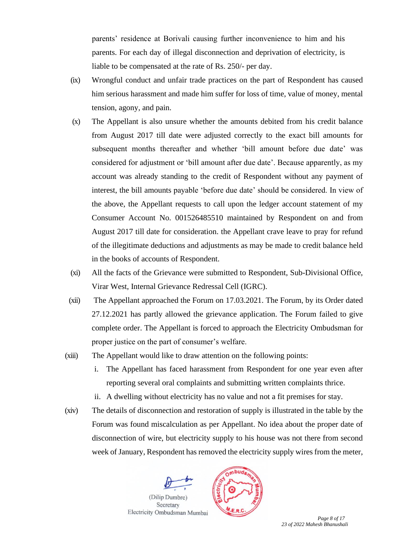parents' residence at Borivali causing further inconvenience to him and his parents. For each day of illegal disconnection and deprivation of electricity, is liable to be compensated at the rate of Rs. 250/- per day.

- (ix) Wrongful conduct and unfair trade practices on the part of Respondent has caused him serious harassment and made him suffer for loss of time, value of money, mental tension, agony, and pain.
- (x) The Appellant is also unsure whether the amounts debited from his credit balance from August 2017 till date were adjusted correctly to the exact bill amounts for subsequent months thereafter and whether 'bill amount before due date' was considered for adjustment or 'bill amount after due date'. Because apparently, as my account was already standing to the credit of Respondent without any payment of interest, the bill amounts payable 'before due date' should be considered. In view of the above, the Appellant requests to call upon the ledger account statement of my Consumer Account No. 001526485510 maintained by Respondent on and from August 2017 till date for consideration. the Appellant crave leave to pray for refund of the illegitimate deductions and adjustments as may be made to credit balance held in the books of accounts of Respondent.
- (xi) All the facts of the Grievance were submitted to Respondent, Sub-Divisional Office, Virar West, Internal Grievance Redressal Cell (IGRC).
- (xii) The Appellant approached the Forum on 17.03.2021. The Forum, by its Order dated 27.12.2021 has partly allowed the grievance application. The Forum failed to give complete order. The Appellant is forced to approach the Electricity Ombudsman for proper justice on the part of consumer's welfare.
- (xiii) The Appellant would like to draw attention on the following points:
	- i. The Appellant has faced harassment from Respondent for one year even after reporting several oral complaints and submitting written complaints thrice.
	- ii. A dwelling without electricity has no value and not a fit premises for stay.
- (xiv) The details of disconnection and restoration of supply is illustrated in the table by the Forum was found miscalculation as per Appellant. No idea about the proper date of disconnection of wire, but electricity supply to his house was not there from second week of January, Respondent has removed the electricity supply wires from the meter,





*23 of 2022 Mahesh Bhanushali*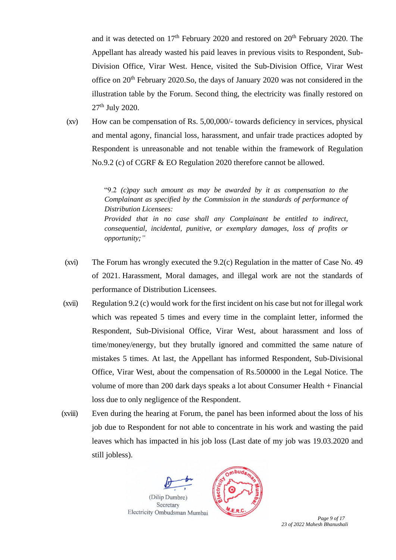and it was detected on  $17<sup>th</sup>$  February 2020 and restored on  $20<sup>th</sup>$  February 2020. The Appellant has already wasted his paid leaves in previous visits to Respondent, Sub-Division Office, Virar West. Hence, visited the Sub-Division Office, Virar West office on 20th February 2020.So, the days of January 2020 was not considered in the illustration table by the Forum. Second thing, the electricity was finally restored on 27th July 2020.

(xv) How can be compensation of Rs. 5,00,000/- towards deficiency in services, physical and mental agony, financial loss, harassment, and unfair trade practices adopted by Respondent is unreasonable and not tenable within the framework of Regulation No.9.2 (c) of CGRF & EO Regulation 2020 therefore cannot be allowed.

> "9.2 *(c)pay such amount as may be awarded by it as compensation to the Complainant as specified by the Commission in the standards of performance of Distribution Licensees: Provided that in no case shall any Complainant be entitled to indirect, consequential, incidental, punitive, or exemplary damages, loss of profits or opportunity;"*

- (xvi) The Forum has wrongly executed the 9.2(c) Regulation in the matter of Case No. 49 of 2021. Harassment, Moral damages, and illegal work are not the standards of performance of Distribution Licensees.
- (xvii) Regulation 9.2 (c) would work for the first incident on his case but not for illegal work which was repeated 5 times and every time in the complaint letter, informed the Respondent, Sub-Divisional Office, Virar West, about harassment and loss of time/money/energy, but they brutally ignored and committed the same nature of mistakes 5 times. At last, the Appellant has informed Respondent, Sub-Divisional Office, Virar West, about the compensation of Rs.500000 in the Legal Notice. The volume of more than 200 dark days speaks a lot about Consumer Health + Financial loss due to only negligence of the Respondent.
- (xviii) Even during the hearing at Forum, the panel has been informed about the loss of his job due to Respondent for not able to concentrate in his work and wasting the paid leaves which has impacted in his job loss (Last date of my job was 19.03.2020 and still jobless).



*23 of 2022 Mahesh Bhanushali*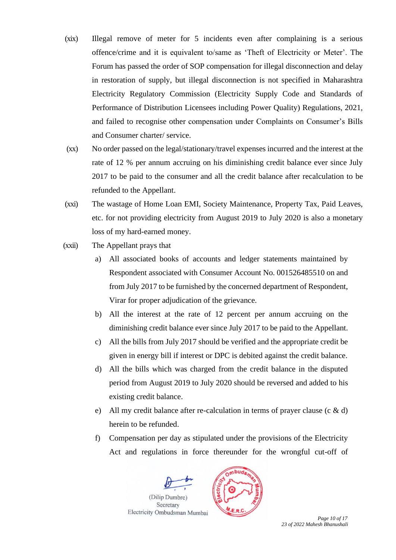- (xix) Illegal remove of meter for 5 incidents even after complaining is a serious offence/crime and it is equivalent to/same as 'Theft of Electricity or Meter'. The Forum has passed the order of SOP compensation for illegal disconnection and delay in restoration of supply, but illegal disconnection is not specified in Maharashtra Electricity Regulatory Commission (Electricity Supply Code and Standards of Performance of Distribution Licensees including Power Quality) Regulations, 2021, and failed to recognise other compensation under Complaints on Consumer's Bills and Consumer charter/ service.
- (xx) No order passed on the legal/stationary/travel expenses incurred and the interest at the rate of 12 % per annum accruing on his diminishing credit balance ever since July 2017 to be paid to the consumer and all the credit balance after recalculation to be refunded to the Appellant.
- (xxi) The wastage of Home Loan EMI, Society Maintenance, Property Tax, Paid Leaves, etc. for not providing electricity from August 2019 to July 2020 is also a monetary loss of my hard-earned money.
- (xxii) The Appellant prays that
	- a) All associated books of accounts and ledger statements maintained by Respondent associated with Consumer Account No. 001526485510 on and from July 2017 to be furnished by the concerned department of Respondent, Virar for proper adjudication of the grievance.
	- b) All the interest at the rate of 12 percent per annum accruing on the diminishing credit balance ever since July 2017 to be paid to the Appellant.
	- c) All the bills from July 2017 should be verified and the appropriate credit be given in energy bill if interest or DPC is debited against the credit balance.
	- d) All the bills which was charged from the credit balance in the disputed period from August 2019 to July 2020 should be reversed and added to his existing credit balance.
	- e) All my credit balance after re-calculation in terms of prayer clause  $(c \& d)$ herein to be refunded.
	- f) Compensation per day as stipulated under the provisions of the Electricity Act and regulations in force thereunder for the wrongful cut-off of





Page 10 of 17 *23 of 2022 Mahesh Bhanushali*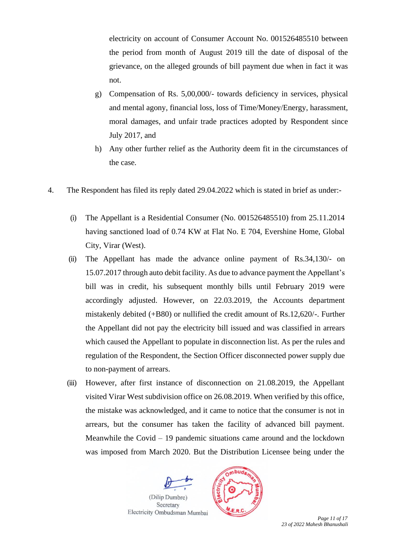electricity on account of Consumer Account No. 001526485510 between the period from month of August 2019 till the date of disposal of the grievance, on the alleged grounds of bill payment due when in fact it was not.

- g) Compensation of Rs. 5,00,000/- towards deficiency in services, physical and mental agony, financial loss, loss of Time/Money/Energy, harassment, moral damages, and unfair trade practices adopted by Respondent since July 2017, and
- h) Any other further relief as the Authority deem fit in the circumstances of the case.
- 4. The Respondent has filed its reply dated 29.04.2022 which is stated in brief as under:-
	- (i) The Appellant is a Residential Consumer (No. 001526485510) from 25.11.2014 having sanctioned load of 0.74 KW at Flat No. E 704, Evershine Home, Global City, Virar (West).
	- (ii) The Appellant has made the advance online payment of Rs.34,130/- on 15.07.2017 through auto debit facility. As due to advance payment the Appellant's bill was in credit, his subsequent monthly bills until February 2019 were accordingly adjusted. However, on 22.03.2019, the Accounts department mistakenly debited (+B80) or nullified the credit amount of Rs.12,620/-. Further the Appellant did not pay the electricity bill issued and was classified in arrears which caused the Appellant to populate in disconnection list. As per the rules and regulation of the Respondent, the Section Officer disconnected power supply due to non-payment of arrears.
	- (iii) However, after first instance of disconnection on 21.08.2019, the Appellant visited Virar West subdivision office on 26.08.2019. When verified by this office, the mistake was acknowledged, and it came to notice that the consumer is not in arrears, but the consumer has taken the facility of advanced bill payment. Meanwhile the Covid – 19 pandemic situations came around and the lockdown was imposed from March 2020. But the Distribution Licensee being under the





Page 11 of 17 *23 of 2022 Mahesh Bhanushali*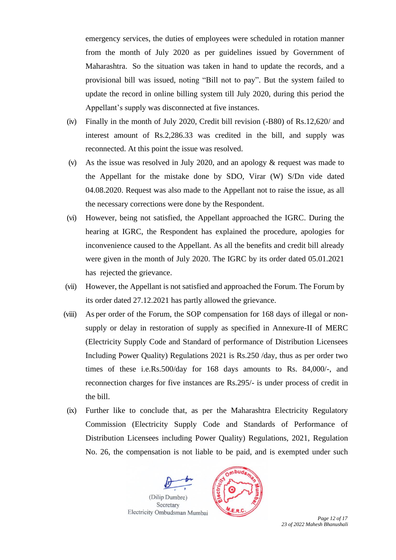emergency services, the duties of employees were scheduled in rotation manner from the month of July 2020 as per guidelines issued by Government of Maharashtra. So the situation was taken in hand to update the records, and a provisional bill was issued, noting "Bill not to pay". But the system failed to update the record in online billing system till July 2020, during this period the Appellant's supply was disconnected at five instances.

- (iv) Finally in the month of July 2020, Credit bill revision (-B80) of Rs.12,620/ and interest amount of Rs.2,286.33 was credited in the bill, and supply was reconnected. At this point the issue was resolved.
- (v) As the issue was resolved in July 2020, and an apology & request was made to the Appellant for the mistake done by SDO, Virar (W) S/Dn vide dated 04.08.2020. Request was also made to the Appellant not to raise the issue, as all the necessary corrections were done by the Respondent.
- (vi) However, being not satisfied, the Appellant approached the IGRC. During the hearing at IGRC, the Respondent has explained the procedure, apologies for inconvenience caused to the Appellant. As all the benefits and credit bill already were given in the month of July 2020. The IGRC by its order dated 05.01.2021 has rejected the grievance.
- (vii) However, the Appellant is not satisfied and approached the Forum. The Forum by its order dated 27.12.2021 has partly allowed the grievance.
- (viii) As per order of the Forum, the SOP compensation for 168 days of illegal or nonsupply or delay in restoration of supply as specified in Annexure-II of MERC (Electricity Supply Code and Standard of performance of Distribution Licensees Including Power Quality) Regulations 2021 is Rs.250 /day, thus as per order two times of these i.e.Rs.500/day for 168 days amounts to Rs. 84,000/-, and reconnection charges for five instances are Rs.295/- is under process of credit in the bill.
- (ix) Further like to conclude that, as per the Maharashtra Electricity Regulatory Commission (Electricity Supply Code and Standards of Performance of Distribution Licensees including Power Quality) Regulations, 2021, Regulation No. 26, the compensation is not liable to be paid, and is exempted under such





*23 of 2022 Mahesh Bhanushali*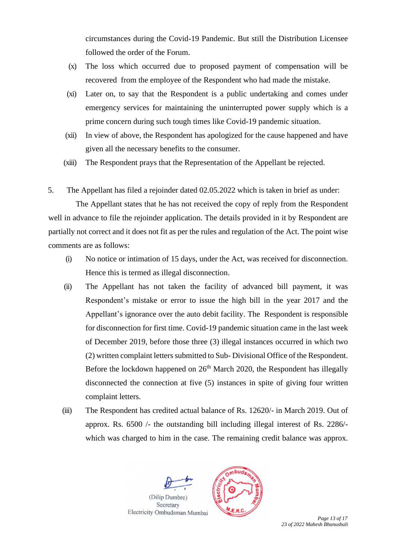circumstances during the Covid-19 Pandemic. But still the Distribution Licensee followed the order of the Forum.

- (x) The loss which occurred due to proposed payment of compensation will be recovered from the employee of the Respondent who had made the mistake.
- (xi) Later on, to say that the Respondent is a public undertaking and comes under emergency services for maintaining the uninterrupted power supply which is a prime concern during such tough times like Covid-19 pandemic situation.
- (xii) In view of above, the Respondent has apologized for the cause happened and have given all the necessary benefits to the consumer.
- (xiii) The Respondent prays that the Representation of the Appellant be rejected.

5. The Appellant has filed a rejoinder dated 02.05.2022 which is taken in brief as under:

 The Appellant states that he has not received the copy of reply from the Respondent well in advance to file the rejoinder application. The details provided in it by Respondent are partially not correct and it does not fit as per the rules and regulation of the Act. The point wise comments are as follows:

- (i) No notice or intimation of 15 days, under the Act, was received for disconnection. Hence this is termed as illegal disconnection.
- (ii) The Appellant has not taken the facility of advanced bill payment, it was Respondent's mistake or error to issue the high bill in the year 2017 and the Appellant's ignorance over the auto debit facility. The Respondent is responsible for disconnection for first time. Covid-19 pandemic situation came in the last week of December 2019, before those three (3) illegal instances occurred in which two (2) written complaint letters submitted to Sub- Divisional Office of the Respondent. Before the lockdown happened on  $26<sup>th</sup>$  March 2020, the Respondent has illegally disconnected the connection at five (5) instances in spite of giving four written complaint letters.
- (iii) The Respondent has credited actual balance of Rs. 12620/- in March 2019. Out of approx. Rs. 6500 /- the outstanding bill including illegal interest of Rs. 2286/ which was charged to him in the case. The remaining credit balance was approx.



*23 of 2022 Mahesh Bhanushali*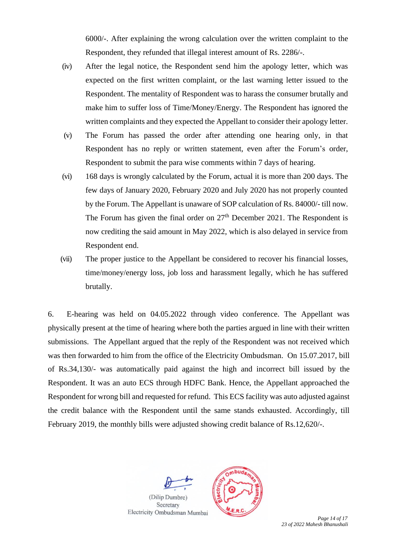6000/-. After explaining the wrong calculation over the written complaint to the Respondent, they refunded that illegal interest amount of Rs. 2286/-.

- (iv) After the legal notice, the Respondent send him the apology letter, which was expected on the first written complaint, or the last warning letter issued to the Respondent. The mentality of Respondent was to harass the consumer brutally and make him to suffer loss of Time/Money/Energy. The Respondent has ignored the written complaints and they expected the Appellant to consider their apology letter.
- (v) The Forum has passed the order after attending one hearing only, in that Respondent has no reply or written statement, even after the Forum's order, Respondent to submit the para wise comments within 7 days of hearing.
- (vi) 168 days is wrongly calculated by the Forum, actual it is more than 200 days. The few days of January 2020, February 2020 and July 2020 has not properly counted by the Forum. The Appellant is unaware of SOP calculation of Rs. 84000/- till now. The Forum has given the final order on  $27<sup>th</sup>$  December 2021. The Respondent is now crediting the said amount in May 2022, which is also delayed in service from Respondent end.
- (vii) The proper justice to the Appellant be considered to recover his financial losses, time/money/energy loss, job loss and harassment legally, which he has suffered brutally.

6. E-hearing was held on 04.05.2022 through video conference. The Appellant was physically present at the time of hearing where both the parties argued in line with their written submissions. The Appellant argued that the reply of the Respondent was not received which was then forwarded to him from the office of the Electricity Ombudsman. On 15.07.2017, bill of Rs.34,130/- was automatically paid against the high and incorrect bill issued by the Respondent. It was an auto ECS through HDFC Bank. Hence, the Appellant approached the Respondent for wrong bill and requested for refund. This ECS facility was auto adjusted against the credit balance with the Respondent until the same stands exhausted. Accordingly, till February 2019, the monthly bills were adjusted showing credit balance of Rs.12,620/-.



*23 of 2022 Mahesh Bhanushali*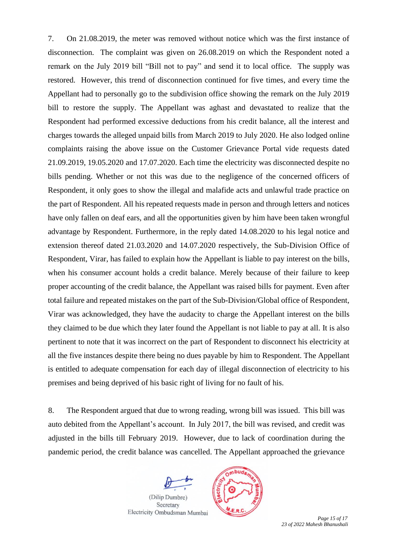7. On 21.08.2019, the meter was removed without notice which was the first instance of disconnection. The complaint was given on 26.08.2019 on which the Respondent noted a remark on the July 2019 bill "Bill not to pay" and send it to local office. The supply was restored. However, this trend of disconnection continued for five times, and every time the Appellant had to personally go to the subdivision office showing the remark on the July 2019 bill to restore the supply. The Appellant was aghast and devastated to realize that the Respondent had performed excessive deductions from his credit balance, all the interest and charges towards the alleged unpaid bills from March 2019 to July 2020. He also lodged online complaints raising the above issue on the Customer Grievance Portal vide requests dated 21.09.2019, 19.05.2020 and 17.07.2020. Each time the electricity was disconnected despite no bills pending. Whether or not this was due to the negligence of the concerned officers of Respondent, it only goes to show the illegal and malafide acts and unlawful trade practice on the part of Respondent. All his repeated requests made in person and through letters and notices have only fallen on deaf ears, and all the opportunities given by him have been taken wrongful advantage by Respondent. Furthermore, in the reply dated 14.08.2020 to his legal notice and extension thereof dated 21.03.2020 and 14.07.2020 respectively, the Sub-Division Office of Respondent, Virar, has failed to explain how the Appellant is liable to pay interest on the bills, when his consumer account holds a credit balance. Merely because of their failure to keep proper accounting of the credit balance, the Appellant was raised bills for payment. Even after total failure and repeated mistakes on the part of the Sub-Division/Global office of Respondent, Virar was acknowledged, they have the audacity to charge the Appellant interest on the bills they claimed to be due which they later found the Appellant is not liable to pay at all. It is also pertinent to note that it was incorrect on the part of Respondent to disconnect his electricity at all the five instances despite there being no dues payable by him to Respondent. The Appellant is entitled to adequate compensation for each day of illegal disconnection of electricity to his premises and being deprived of his basic right of living for no fault of his.

8. The Respondent argued that due to wrong reading, wrong bill was issued. This bill was auto debited from the Appellant's account. In July 2017, the bill was revised, and credit was adjusted in the bills till February 2019. However, due to lack of coordination during the pandemic period, the credit balance was cancelled. The Appellant approached the grievance





Page 15 of 17 *23 of 2022 Mahesh Bhanushali*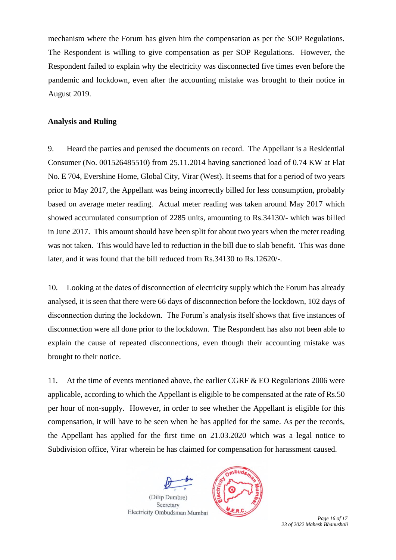mechanism where the Forum has given him the compensation as per the SOP Regulations. The Respondent is willing to give compensation as per SOP Regulations. However, the Respondent failed to explain why the electricity was disconnected five times even before the pandemic and lockdown, even after the accounting mistake was brought to their notice in August 2019.

## **Analysis and Ruling**

9. Heard the parties and perused the documents on record. The Appellant is a Residential Consumer (No. 001526485510) from 25.11.2014 having sanctioned load of 0.74 KW at Flat No. E 704, Evershine Home, Global City, Virar (West). It seems that for a period of two years prior to May 2017, the Appellant was being incorrectly billed for less consumption, probably based on average meter reading. Actual meter reading was taken around May 2017 which showed accumulated consumption of 2285 units, amounting to Rs.34130/- which was billed in June 2017. This amount should have been split for about two years when the meter reading was not taken. This would have led to reduction in the bill due to slab benefit. This was done later, and it was found that the bill reduced from Rs.34130 to Rs.12620/-.

10. Looking at the dates of disconnection of electricity supply which the Forum has already analysed, it is seen that there were 66 days of disconnection before the lockdown, 102 days of disconnection during the lockdown. The Forum's analysis itself shows that five instances of disconnection were all done prior to the lockdown. The Respondent has also not been able to explain the cause of repeated disconnections, even though their accounting mistake was brought to their notice.

11. At the time of events mentioned above, the earlier CGRF & EO Regulations 2006 were applicable, according to which the Appellant is eligible to be compensated at the rate of Rs.50 per hour of non-supply. However, in order to see whether the Appellant is eligible for this compensation, it will have to be seen when he has applied for the same. As per the records, the Appellant has applied for the first time on 21.03.2020 which was a legal notice to Subdivision office, Virar wherein he has claimed for compensation for harassment caused.





Page 16 of 17 *23 of 2022 Mahesh Bhanushali*